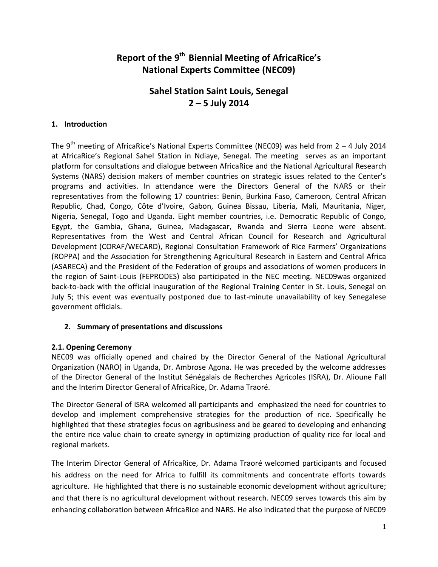# **Report of the 9th Biennial Meeting of AfricaRice's National Experts Committee (NEC09)**

# **Sahel Station Saint Louis, Senegal 2 – 5 July 2014**

# **1. Introduction**

The  $9^{th}$  meeting of AfricaRice's National Experts Committee (NEC09) was held from  $2 - 4$  July 2014 at AfricaRice's Regional Sahel Station in Ndiaye, Senegal. The meeting serves as an important platform for consultations and dialogue between AfricaRice and the National Agricultural Research Systems (NARS) decision makers of member countries on strategic issues related to the Center's programs and activities. In attendance were the Directors General of the NARS or their representatives from the following 17 countries: Benin, Burkina Faso, Cameroon, Central African Republic, Chad, Congo, Côte d'Ivoire, Gabon, Guinea Bissau, Liberia, Mali, Mauritania, Niger, Nigeria, Senegal, Togo and Uganda. Eight member countries, i.e. Democratic Republic of Congo, Egypt, the Gambia, Ghana, Guinea, Madagascar, Rwanda and Sierra Leone were absent. Representatives from the West and Central African Council for Research and Agricultural Development (CORAF/WECARD), Regional Consultation Framework of Rice Farmers' Organizations (ROPPA) and the Association for Strengthening Agricultural Research in Eastern and Central Africa (ASARECA) and the President of the Federation of groups and associations of women producers in the region of Saint-Louis (FEPRODES) also participated in the NEC meeting. NEC09was organized back-to-back with the official inauguration of the Regional Training Center in St. Louis, Senegal on July 5; this event was eventually postponed due to last-minute unavailability of key Senegalese government officials.

# **2. Summary of presentations and discussions**

# **2.1. Opening Ceremony**

NEC09 was officially opened and chaired by the Director General of the National Agricultural Organization (NARO) in Uganda, Dr. Ambrose Agona. He was preceded by the welcome addresses of the Director General of the Institut Sénégalais de Recherches Agricoles (ISRA), Dr. Alioune Fall and the Interim Director General of AfricaRice, Dr. Adama Traoré.

The Director General of ISRA welcomed all participants and emphasized the need for countries to develop and implement comprehensive strategies for the production of rice. Specifically he highlighted that these strategies focus on agribusiness and be geared to developing and enhancing the entire rice value chain to create synergy in optimizing production of quality rice for local and regional markets.

The Interim Director General of AfricaRice, Dr. Adama Traoré welcomed participants and focused his address on the need for Africa to fulfill its commitments and concentrate efforts towards agriculture. He highlighted that there is no sustainable economic development without agriculture; and that there is no agricultural development without research. NEC09 serves towards this aim by enhancing collaboration between AfricaRice and NARS. He also indicated that the purpose of NEC09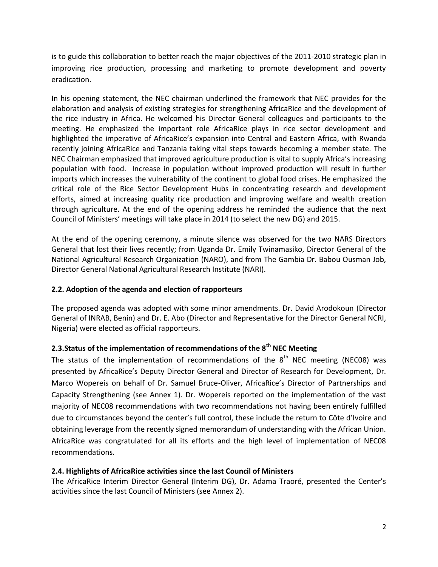is to guide this collaboration to better reach the major objectives of the 2011-2010 strategic plan in improving rice production, processing and marketing to promote development and poverty eradication.

In his opening statement, the NEC chairman underlined the framework that NEC provides for the elaboration and analysis of existing strategies for strengthening AfricaRice and the development of the rice industry in Africa. He welcomed his Director General colleagues and participants to the meeting. He emphasized the important role AfricaRice plays in rice sector development and highlighted the imperative of AfricaRice's expansion into Central and Eastern Africa, with Rwanda recently joining AfricaRice and Tanzania taking vital steps towards becoming a member state. The NEC Chairman emphasized that improved agriculture production is vital to supply Africa's increasing population with food. Increase in population without improved production will result in further imports which increases the vulnerability of the continent to global food crises. He emphasized the critical role of the Rice Sector Development Hubs in concentrating research and development efforts, aimed at increasing quality rice production and improving welfare and wealth creation through agriculture. At the end of the opening address he reminded the audience that the next Council of Ministers' meetings will take place in 2014 (to select the new DG) and 2015.

At the end of the opening ceremony, a minute silence was observed for the two NARS Directors General that lost their lives recently; from Uganda Dr. Emily Twinamasiko, Director General of the National Agricultural Research Organization (NARO), and from The Gambia Dr. Babou Ousman Job, Director General National Agricultural Research Institute (NARI).

# **2.2. Adoption of the agenda and election of rapporteurs**

The proposed agenda was adopted with some minor amendments. Dr. David Arodokoun (Director General of INRAB, Benin) and Dr. E. Abo (Director and Representative for the Director General NCRI, Nigeria) were elected as official rapporteurs.

# **2.3.Status of the implementation of recommendations of the 8th NEC Meeting**

The status of the implementation of recommendations of the  $8<sup>th</sup>$  NEC meeting (NEC08) was presented by AfricaRice's Deputy Director General and Director of Research for Development, Dr. Marco Wopereis on behalf of Dr. Samuel Bruce-Oliver, AfricaRice's Director of Partnerships and Capacity Strengthening (see Annex 1). Dr. Wopereis reported on the implementation of the vast majority of NEC08 recommendations with two recommendations not having been entirely fulfilled due to circumstances beyond the center's full control, these include the return to Côte d'Ivoire and obtaining leverage from the recently signed memorandum of understanding with the African Union. AfricaRice was congratulated for all its efforts and the high level of implementation of NEC08 recommendations.

# **2.4. Highlights of AfricaRice activities since the last Council of Ministers**

The AfricaRice Interim Director General (Interim DG), Dr. Adama Traoré, presented the Center's activities since the last Council of Ministers (see Annex 2).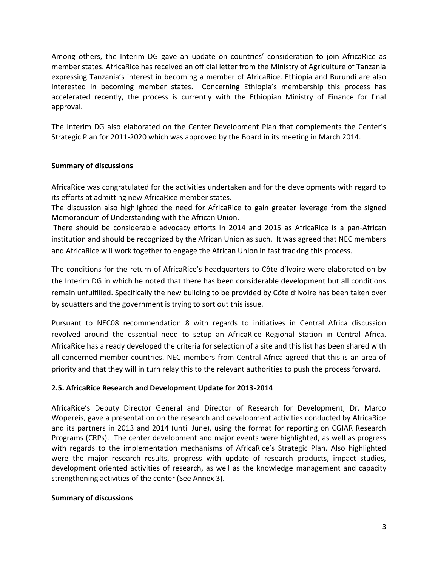Among others, the Interim DG gave an update on countries' consideration to join AfricaRice as member states. AfricaRice has received an official letter from the Ministry of Agriculture of Tanzania expressing Tanzania's interest in becoming a member of AfricaRice. Ethiopia and Burundi are also interested in becoming member states. Concerning Ethiopia's membership this process has accelerated recently, the process is currently with the Ethiopian Ministry of Finance for final approval.

The Interim DG also elaborated on the Center Development Plan that complements the Center's Strategic Plan for 2011-2020 which was approved by the Board in its meeting in March 2014.

# **Summary of discussions**

AfricaRice was congratulated for the activities undertaken and for the developments with regard to its efforts at admitting new AfricaRice member states.

The discussion also highlighted the need for AfricaRice to gain greater leverage from the signed Memorandum of Understanding with the African Union.

There should be considerable advocacy efforts in 2014 and 2015 as AfricaRice is a pan-African institution and should be recognized by the African Union as such. It was agreed that NEC members and AfricaRice will work together to engage the African Union in fast tracking this process.

The conditions for the return of AfricaRice's headquarters to Côte d'Ivoire were elaborated on by the Interim DG in which he noted that there has been considerable development but all conditions remain unfulfilled. Specifically the new building to be provided by Côte d'Ivoire has been taken over by squatters and the government is trying to sort out this issue.

Pursuant to NEC08 recommendation 8 with regards to initiatives in Central Africa discussion revolved around the essential need to setup an AfricaRice Regional Station in Central Africa. AfricaRice has already developed the criteria for selection of a site and this list has been shared with all concerned member countries. NEC members from Central Africa agreed that this is an area of priority and that they will in turn relay this to the relevant authorities to push the process forward.

# **2.5. AfricaRice Research and Development Update for 2013-2014**

AfricaRice's Deputy Director General and Director of Research for Development, Dr. Marco Wopereis, gave a presentation on the research and development activities conducted by AfricaRice and its partners in 2013 and 2014 (until June), using the format for reporting on CGIAR Research Programs (CRPs). The center development and major events were highlighted, as well as progress with regards to the implementation mechanisms of AfricaRice's Strategic Plan. Also highlighted were the major research results, progress with update of research products, impact studies, development oriented activities of research, as well as the knowledge management and capacity strengthening activities of the center (See Annex 3).

# **Summary of discussions**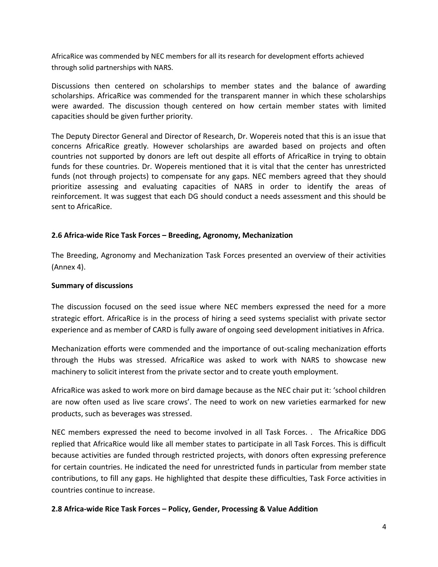AfricaRice was commended by NEC members for all its research for development efforts achieved through solid partnerships with NARS.

Discussions then centered on scholarships to member states and the balance of awarding scholarships. AfricaRice was commended for the transparent manner in which these scholarships were awarded. The discussion though centered on how certain member states with limited capacities should be given further priority.

The Deputy Director General and Director of Research, Dr. Wopereis noted that this is an issue that concerns AfricaRice greatly. However scholarships are awarded based on projects and often countries not supported by donors are left out despite all efforts of AfricaRice in trying to obtain funds for these countries. Dr. Wopereis mentioned that it is vital that the center has unrestricted funds (not through projects) to compensate for any gaps. NEC members agreed that they should prioritize assessing and evaluating capacities of NARS in order to identify the areas of reinforcement. It was suggest that each DG should conduct a needs assessment and this should be sent to AfricaRice.

# **2.6 Africa-wide Rice Task Forces – Breeding, Agronomy, Mechanization**

The Breeding, Agronomy and Mechanization Task Forces presented an overview of their activities (Annex 4).

### **Summary of discussions**

The discussion focused on the seed issue where NEC members expressed the need for a more strategic effort. AfricaRice is in the process of hiring a seed systems specialist with private sector experience and as member of CARD is fully aware of ongoing seed development initiatives in Africa.

Mechanization efforts were commended and the importance of out-scaling mechanization efforts through the Hubs was stressed. AfricaRice was asked to work with NARS to showcase new machinery to solicit interest from the private sector and to create youth employment.

AfricaRice was asked to work more on bird damage because as the NEC chair put it: 'school children are now often used as live scare crows'. The need to work on new varieties earmarked for new products, such as beverages was stressed.

NEC members expressed the need to become involved in all Task Forces. . The AfricaRice DDG replied that AfricaRice would like all member states to participate in all Task Forces. This is difficult because activities are funded through restricted projects, with donors often expressing preference for certain countries. He indicated the need for unrestricted funds in particular from member state contributions, to fill any gaps. He highlighted that despite these difficulties, Task Force activities in countries continue to increase.

# **2.8 Africa-wide Rice Task Forces – Policy, Gender, Processing & Value Addition**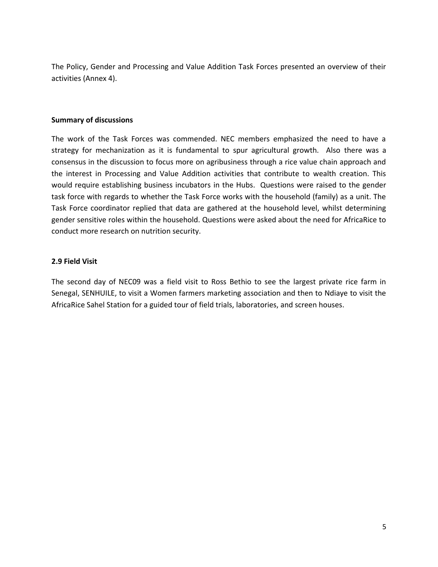The Policy, Gender and Processing and Value Addition Task Forces presented an overview of their activities (Annex 4).

#### **Summary of discussions**

The work of the Task Forces was commended. NEC members emphasized the need to have a strategy for mechanization as it is fundamental to spur agricultural growth. Also there was a consensus in the discussion to focus more on agribusiness through a rice value chain approach and the interest in Processing and Value Addition activities that contribute to wealth creation. This would require establishing business incubators in the Hubs. Questions were raised to the gender task force with regards to whether the Task Force works with the household (family) as a unit. The Task Force coordinator replied that data are gathered at the household level, whilst determining gender sensitive roles within the household. Questions were asked about the need for AfricaRice to conduct more research on nutrition security.

# **2.9 Field Visit**

The second day of NEC09 was a field visit to Ross Bethio to see the largest private rice farm in Senegal, SENHUILE, to visit a Women farmers marketing association and then to Ndiaye to visit the AfricaRice Sahel Station for a guided tour of field trials, laboratories, and screen houses.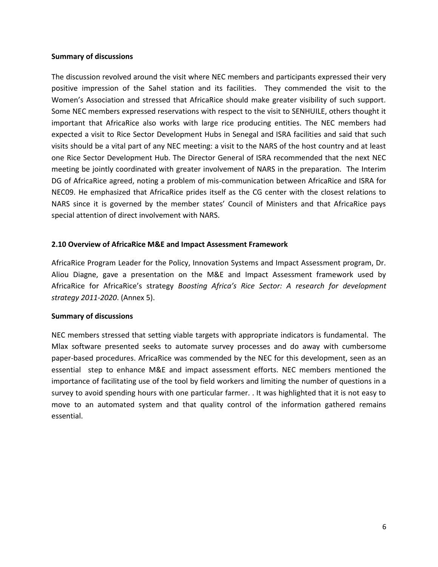#### **Summary of discussions**

The discussion revolved around the visit where NEC members and participants expressed their very positive impression of the Sahel station and its facilities. They commended the visit to the Women's Association and stressed that AfricaRice should make greater visibility of such support. Some NEC members expressed reservations with respect to the visit to SENHUILE, others thought it important that AfricaRice also works with large rice producing entities. The NEC members had expected a visit to Rice Sector Development Hubs in Senegal and ISRA facilities and said that such visits should be a vital part of any NEC meeting: a visit to the NARS of the host country and at least one Rice Sector Development Hub. The Director General of ISRA recommended that the next NEC meeting be jointly coordinated with greater involvement of NARS in the preparation. The Interim DG of AfricaRice agreed, noting a problem of mis-communication between AfricaRice and ISRA for NEC09. He emphasized that AfricaRice prides itself as the CG center with the closest relations to NARS since it is governed by the member states' Council of Ministers and that AfricaRice pays special attention of direct involvement with NARS.

#### **2.10 Overview of AfricaRice M&E and Impact Assessment Framework**

AfricaRice Program Leader for the Policy, Innovation Systems and Impact Assessment program, Dr. Aliou Diagne, gave a presentation on the M&E and Impact Assessment framework used by AfricaRice for AfricaRice's strategy *Boosting Africa's Rice Sector: A research for development strategy 2011-2020*. (Annex 5).

#### **Summary of discussions**

NEC members stressed that setting viable targets with appropriate indicators is fundamental. The Mlax software presented seeks to automate survey processes and do away with cumbersome paper-based procedures. AfricaRice was commended by the NEC for this development, seen as an essential step to enhance M&E and impact assessment efforts. NEC members mentioned the importance of facilitating use of the tool by field workers and limiting the number of questions in a survey to avoid spending hours with one particular farmer. . It was highlighted that it is not easy to move to an automated system and that quality control of the information gathered remains essential.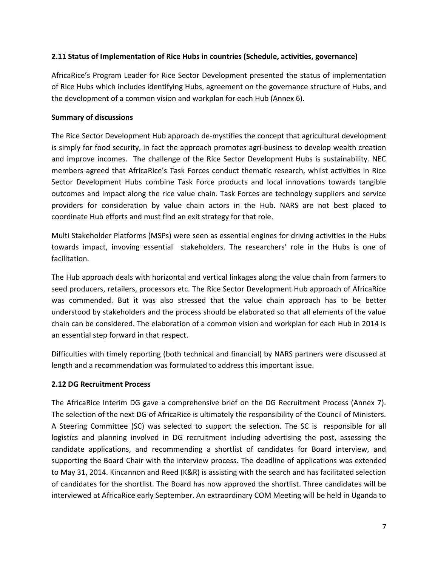# **2.11 Status of Implementation of Rice Hubs in countries (Schedule, activities, governance)**

AfricaRice's Program Leader for Rice Sector Development presented the status of implementation of Rice Hubs which includes identifying Hubs, agreement on the governance structure of Hubs, and the development of a common vision and workplan for each Hub (Annex 6).

#### **Summary of discussions**

The Rice Sector Development Hub approach de-mystifies the concept that agricultural development is simply for food security, in fact the approach promotes agri-business to develop wealth creation and improve incomes. The challenge of the Rice Sector Development Hubs is sustainability. NEC members agreed that AfricaRice's Task Forces conduct thematic research, whilst activities in Rice Sector Development Hubs combine Task Force products and local innovations towards tangible outcomes and impact along the rice value chain. Task Forces are technology suppliers and service providers for consideration by value chain actors in the Hub. NARS are not best placed to coordinate Hub efforts and must find an exit strategy for that role.

Multi Stakeholder Platforms (MSPs) were seen as essential engines for driving activities in the Hubs towards impact, invoving essential stakeholders. The researchers' role in the Hubs is one of facilitation.

The Hub approach deals with horizontal and vertical linkages along the value chain from farmers to seed producers, retailers, processors etc. The Rice Sector Development Hub approach of AfricaRice was commended. But it was also stressed that the value chain approach has to be better understood by stakeholders and the process should be elaborated so that all elements of the value chain can be considered. The elaboration of a common vision and workplan for each Hub in 2014 is an essential step forward in that respect.

Difficulties with timely reporting (both technical and financial) by NARS partners were discussed at length and a recommendation was formulated to address this important issue.

# **2.12 DG Recruitment Process**

The AfricaRice Interim DG gave a comprehensive brief on the DG Recruitment Process (Annex 7). The selection of the next DG of AfricaRice is ultimately the responsibility of the Council of Ministers. A Steering Committee (SC) was selected to support the selection. The SC is responsible for all logistics and planning involved in DG recruitment including advertising the post, assessing the candidate applications, and recommending a shortlist of candidates for Board interview, and supporting the Board Chair with the interview process. The deadline of applications was extended to May 31, 2014. Kincannon and Reed (K&R) is assisting with the search and has facilitated selection of candidates for the shortlist. The Board has now approved the shortlist. Three candidates will be interviewed at AfricaRice early September. An extraordinary COM Meeting will be held in Uganda to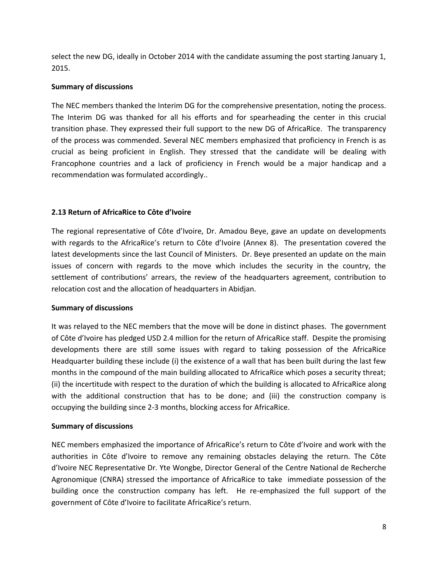select the new DG, ideally in October 2014 with the candidate assuming the post starting January 1, 2015.

# **Summary of discussions**

The NEC members thanked the Interim DG for the comprehensive presentation, noting the process. The Interim DG was thanked for all his efforts and for spearheading the center in this crucial transition phase. They expressed their full support to the new DG of AfricaRice. The transparency of the process was commended. Several NEC members emphasized that proficiency in French is as crucial as being proficient in English. They stressed that the candidate will be dealing with Francophone countries and a lack of proficiency in French would be a major handicap and a recommendation was formulated accordingly..

# **2.13 Return of AfricaRice to Côte d'Ivoire**

The regional representative of Côte d'Ivoire, Dr. Amadou Beye, gave an update on developments with regards to the AfricaRice's return to Côte d'Ivoire (Annex 8). The presentation covered the latest developments since the last Council of Ministers. Dr. Beye presented an update on the main issues of concern with regards to the move which includes the security in the country, the settlement of contributions' arrears, the review of the headquarters agreement, contribution to relocation cost and the allocation of headquarters in Abidjan.

# **Summary of discussions**

It was relayed to the NEC members that the move will be done in distinct phases. The government of Côte d'Ivoire has pledged USD 2.4 million for the return of AfricaRice staff. Despite the promising developments there are still some issues with regard to taking possession of the AfricaRice Headquarter building these include (i) the existence of a wall that has been built during the last few months in the compound of the main building allocated to AfricaRice which poses a security threat; (ii) the incertitude with respect to the duration of which the building is allocated to AfricaRice along with the additional construction that has to be done; and (iii) the construction company is occupying the building since 2-3 months, blocking access for AfricaRice.

# **Summary of discussions**

NEC members emphasized the importance of AfricaRice's return to Côte d'Ivoire and work with the authorities in Côte d'Ivoire to remove any remaining obstacles delaying the return. The Côte d'Ivoire NEC Representative Dr. Yte Wongbe, Director General of the Centre National de Recherche Agronomique (CNRA) stressed the importance of AfricaRice to take immediate possession of the building once the construction company has left. He re-emphasized the full support of the government of Côte d'Ivoire to facilitate AfricaRice's return.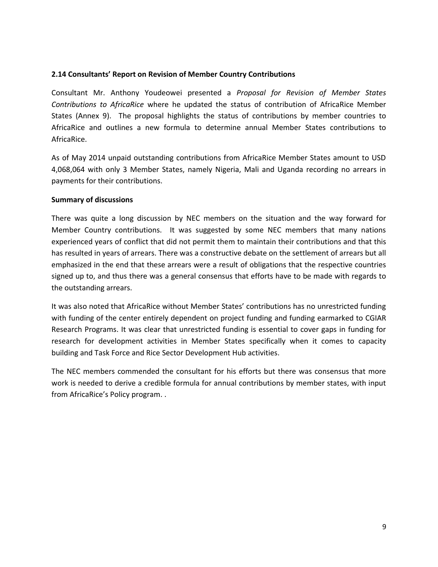#### **2.14 Consultants' Report on Revision of Member Country Contributions**

Consultant Mr. Anthony Youdeowei presented a *Proposal for Revision of Member States Contributions to AfricaRice* where he updated the status of contribution of AfricaRice Member States (Annex 9). The proposal highlights the status of contributions by member countries to AfricaRice and outlines a new formula to determine annual Member States contributions to AfricaRice.

As of May 2014 unpaid outstanding contributions from AfricaRice Member States amount to USD 4,068,064 with only 3 Member States, namely Nigeria, Mali and Uganda recording no arrears in payments for their contributions.

#### **Summary of discussions**

There was quite a long discussion by NEC members on the situation and the way forward for Member Country contributions. It was suggested by some NEC members that many nations experienced years of conflict that did not permit them to maintain their contributions and that this has resulted in years of arrears. There was a constructive debate on the settlement of arrears but all emphasized in the end that these arrears were a result of obligations that the respective countries signed up to, and thus there was a general consensus that efforts have to be made with regards to the outstanding arrears.

It was also noted that AfricaRice without Member States' contributions has no unrestricted funding with funding of the center entirely dependent on project funding and funding earmarked to CGIAR Research Programs. It was clear that unrestricted funding is essential to cover gaps in funding for research for development activities in Member States specifically when it comes to capacity building and Task Force and Rice Sector Development Hub activities.

The NEC members commended the consultant for his efforts but there was consensus that more work is needed to derive a credible formula for annual contributions by member states, with input from AfricaRice's Policy program. .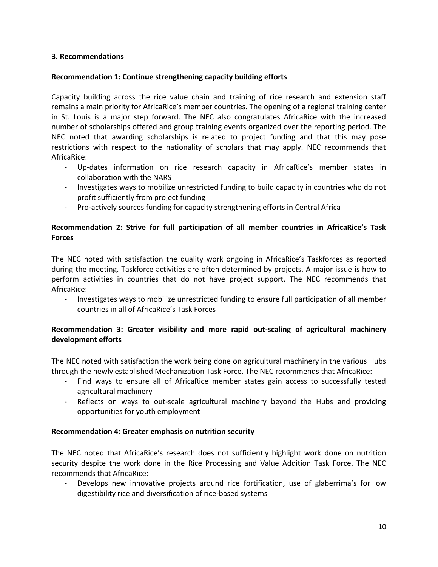### **3. Recommendations**

### **Recommendation 1: Continue strengthening capacity building efforts**

Capacity building across the rice value chain and training of rice research and extension staff remains a main priority for AfricaRice's member countries. The opening of a regional training center in St. Louis is a major step forward. The NEC also congratulates AfricaRice with the increased number of scholarships offered and group training events organized over the reporting period. The NEC noted that awarding scholarships is related to project funding and that this may pose restrictions with respect to the nationality of scholars that may apply. NEC recommends that AfricaRice:

- Up-dates information on rice research capacity in AfricaRice's member states in collaboration with the NARS
- Investigates ways to mobilize unrestricted funding to build capacity in countries who do not profit sufficiently from project funding
- Pro-actively sources funding for capacity strengthening efforts in Central Africa

# **Recommendation 2: Strive for full participation of all member countries in AfricaRice's Task Forces**

The NEC noted with satisfaction the quality work ongoing in AfricaRice's Taskforces as reported during the meeting. Taskforce activities are often determined by projects. A major issue is how to perform activities in countries that do not have project support. The NEC recommends that AfricaRice:

- Investigates ways to mobilize unrestricted funding to ensure full participation of all member countries in all of AfricaRice's Task Forces

# **Recommendation 3: Greater visibility and more rapid out-scaling of agricultural machinery development efforts**

The NEC noted with satisfaction the work being done on agricultural machinery in the various Hubs through the newly established Mechanization Task Force. The NEC recommends that AfricaRice:

- Find ways to ensure all of AfricaRice member states gain access to successfully tested agricultural machinery
- Reflects on ways to out-scale agricultural machinery beyond the Hubs and providing opportunities for youth employment

# **Recommendation 4: Greater emphasis on nutrition security**

The NEC noted that AfricaRice's research does not sufficiently highlight work done on nutrition security despite the work done in the Rice Processing and Value Addition Task Force. The NEC recommends that AfricaRice:

Develops new innovative projects around rice fortification, use of glaberrima's for low digestibility rice and diversification of rice-based systems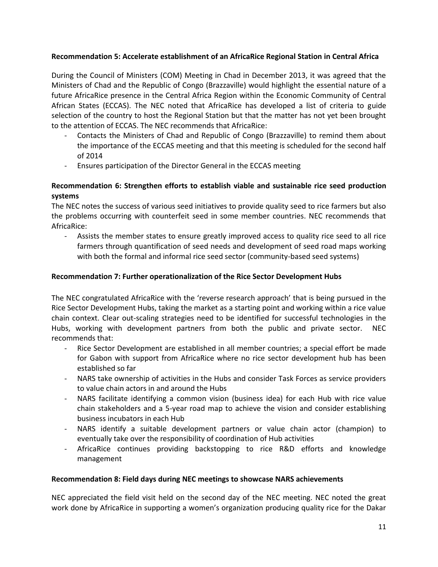# **Recommendation 5: Accelerate establishment of an AfricaRice Regional Station in Central Africa**

During the Council of Ministers (COM) Meeting in Chad in December 2013, it was agreed that the Ministers of Chad and the Republic of Congo (Brazzaville) would highlight the essential nature of a future AfricaRice presence in the Central Africa Region within the Economic Community of Central African States (ECCAS). The NEC noted that AfricaRice has developed a list of criteria to guide selection of the country to host the Regional Station but that the matter has not yet been brought to the attention of ECCAS. The NEC recommends that AfricaRice:

- Contacts the Ministers of Chad and Republic of Congo (Brazzaville) to remind them about the importance of the ECCAS meeting and that this meeting is scheduled for the second half of 2014
- Ensures participation of the Director General in the ECCAS meeting

# **Recommendation 6: Strengthen efforts to establish viable and sustainable rice seed production systems**

The NEC notes the success of various seed initiatives to provide quality seed to rice farmers but also the problems occurring with counterfeit seed in some member countries. NEC recommends that AfricaRice:

- Assists the member states to ensure greatly improved access to quality rice seed to all rice farmers through quantification of seed needs and development of seed road maps working with both the formal and informal rice seed sector (community-based seed systems)

# **Recommendation 7: Further operationalization of the Rice Sector Development Hubs**

The NEC congratulated AfricaRice with the 'reverse research approach' that is being pursued in the Rice Sector Development Hubs, taking the market as a starting point and working within a rice value chain context. Clear out-scaling strategies need to be identified for successful technologies in the Hubs, working with development partners from both the public and private sector. NEC recommends that:

- Rice Sector Development are established in all member countries; a special effort be made for Gabon with support from AfricaRice where no rice sector development hub has been established so far
- NARS take ownership of activities in the Hubs and consider Task Forces as service providers to value chain actors in and around the Hubs
- NARS facilitate identifying a common vision (business idea) for each Hub with rice value chain stakeholders and a 5-year road map to achieve the vision and consider establishing business incubators in each Hub
- NARS identify a suitable development partners or value chain actor (champion) to eventually take over the responsibility of coordination of Hub activities
- AfricaRice continues providing backstopping to rice R&D efforts and knowledge management

# **Recommendation 8: Field days during NEC meetings to showcase NARS achievements**

NEC appreciated the field visit held on the second day of the NEC meeting. NEC noted the great work done by AfricaRice in supporting a women's organization producing quality rice for the Dakar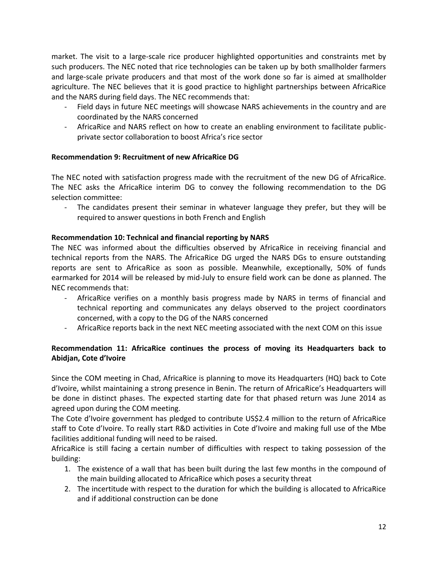market. The visit to a large-scale rice producer highlighted opportunities and constraints met by such producers. The NEC noted that rice technologies can be taken up by both smallholder farmers and large-scale private producers and that most of the work done so far is aimed at smallholder agriculture. The NEC believes that it is good practice to highlight partnerships between AfricaRice and the NARS during field days. The NEC recommends that:

- Field days in future NEC meetings will showcase NARS achievements in the country and are coordinated by the NARS concerned
- AfricaRice and NARS reflect on how to create an enabling environment to facilitate publicprivate sector collaboration to boost Africa's rice sector

# **Recommendation 9: Recruitment of new AfricaRice DG**

The NEC noted with satisfaction progress made with the recruitment of the new DG of AfricaRice. The NEC asks the AfricaRice interim DG to convey the following recommendation to the DG selection committee:

The candidates present their seminar in whatever language they prefer, but they will be required to answer questions in both French and English

# **Recommendation 10: Technical and financial reporting by NARS**

The NEC was informed about the difficulties observed by AfricaRice in receiving financial and technical reports from the NARS. The AfricaRice DG urged the NARS DGs to ensure outstanding reports are sent to AfricaRice as soon as possible. Meanwhile, exceptionally, 50% of funds earmarked for 2014 will be released by mid-July to ensure field work can be done as planned. The NEC recommends that:

- AfricaRice verifies on a monthly basis progress made by NARS in terms of financial and technical reporting and communicates any delays observed to the project coordinators concerned, with a copy to the DG of the NARS concerned
- AfricaRice reports back in the next NEC meeting associated with the next COM on this issue

# **Recommendation 11: AfricaRice continues the process of moving its Headquarters back to Abidjan, Cote d'Ivoire**

Since the COM meeting in Chad, AfricaRice is planning to move its Headquarters (HQ) back to Cote d'Ivoire, whilst maintaining a strong presence in Benin. The return of AfricaRice's Headquarters will be done in distinct phases. The expected starting date for that phased return was June 2014 as agreed upon during the COM meeting.

The Cote d'Ivoire government has pledged to contribute US\$2.4 million to the return of AfricaRice staff to Cote d'Ivoire. To really start R&D activities in Cote d'Ivoire and making full use of the Mbe facilities additional funding will need to be raised.

AfricaRice is still facing a certain number of difficulties with respect to taking possession of the building:

- 1. The existence of a wall that has been built during the last few months in the compound of the main building allocated to AfricaRice which poses a security threat
- 2. The incertitude with respect to the duration for which the building is allocated to AfricaRice and if additional construction can be done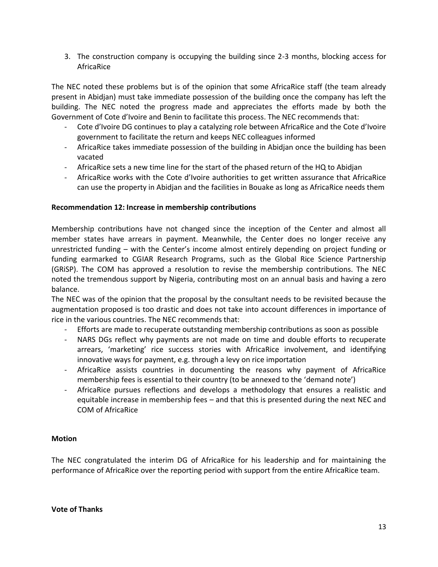3. The construction company is occupying the building since 2-3 months, blocking access for AfricaRice

The NEC noted these problems but is of the opinion that some AfricaRice staff (the team already present in Abidjan) must take immediate possession of the building once the company has left the building. The NEC noted the progress made and appreciates the efforts made by both the Government of Cote d'Ivoire and Benin to facilitate this process. The NEC recommends that:

- Cote d'Ivoire DG continues to play a catalyzing role between AfricaRice and the Cote d'Ivoire government to facilitate the return and keeps NEC colleagues informed
- AfricaRice takes immediate possession of the building in Abidjan once the building has been vacated
- AfricaRice sets a new time line for the start of the phased return of the HQ to Abidjan
- AfricaRice works with the Cote d'Ivoire authorities to get written assurance that AfricaRice can use the property in Abidjan and the facilities in Bouake as long as AfricaRice needs them

# **Recommendation 12: Increase in membership contributions**

Membership contributions have not changed since the inception of the Center and almost all member states have arrears in payment. Meanwhile, the Center does no longer receive any unrestricted funding – with the Center's income almost entirely depending on project funding or funding earmarked to CGIAR Research Programs, such as the Global Rice Science Partnership (GRiSP). The COM has approved a resolution to revise the membership contributions. The NEC noted the tremendous support by Nigeria, contributing most on an annual basis and having a zero balance.

The NEC was of the opinion that the proposal by the consultant needs to be revisited because the augmentation proposed is too drastic and does not take into account differences in importance of rice in the various countries. The NEC recommends that:

- Efforts are made to recuperate outstanding membership contributions as soon as possible

- NARS DGs reflect why payments are not made on time and double efforts to recuperate arrears, 'marketing' rice success stories with AfricaRice involvement, and identifying innovative ways for payment, e.g. through a levy on rice importation
- AfricaRice assists countries in documenting the reasons why payment of AfricaRice membership fees is essential to their country (to be annexed to the 'demand note')
- AfricaRice pursues reflections and develops a methodology that ensures a realistic and equitable increase in membership fees – and that this is presented during the next NEC and COM of AfricaRice

# **Motion**

The NEC congratulated the interim DG of AfricaRice for his leadership and for maintaining the performance of AfricaRice over the reporting period with support from the entire AfricaRice team.